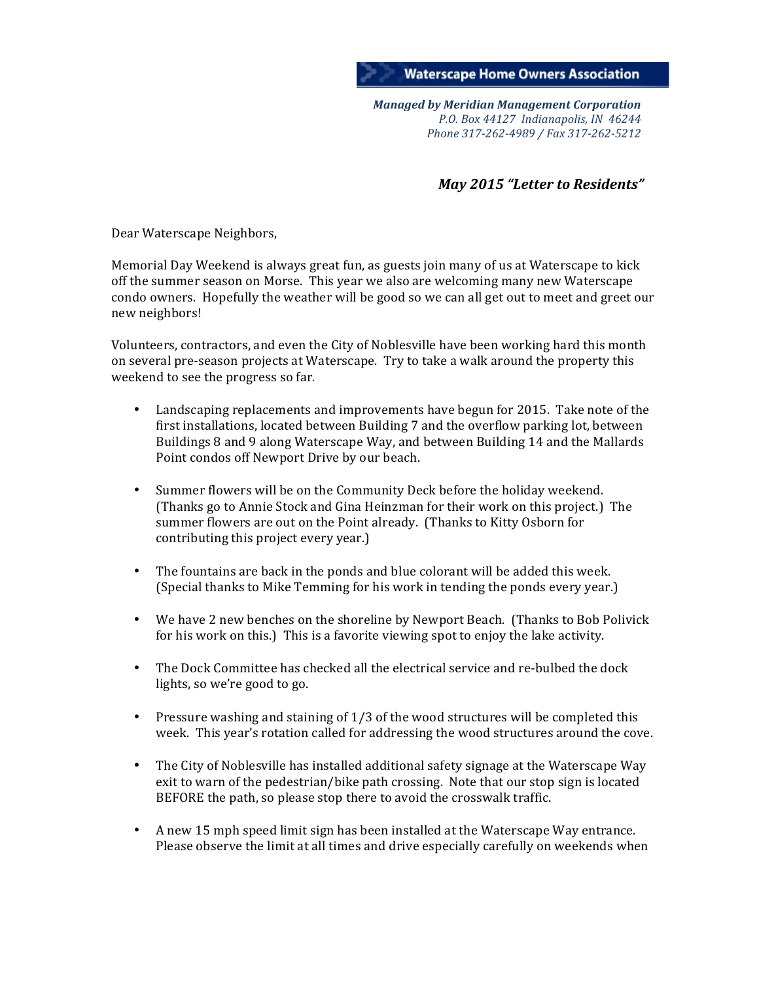

*Managed'by'Meridian'Management'Corporation P.O.\$Box\$44127\$\$Indianapolis,\$IN\$\$46244 Phone\$317:262:4989\$/\$Fax\$317:262:5212*

## *May* 2015 "Letter to Residents"

Dear Waterscape Neighbors,

Memorial Day Weekend is always great fun, as guests join many of us at Waterscape to kick off the summer season on Morse. This year we also are welcoming many new Waterscape condo owners. Hopefully the weather will be good so we can all get out to meet and greet our new neighbors!

Volunteers, contractors, and even the City of Noblesville have been working hard this month on several pre-season projects at Waterscape. Try to take a walk around the property this weekend to see the progress so far.

- Landscaping replacements and improvements have begun for 2015. Take note of the first installations, located between Building 7 and the overflow parking lot, between Buildings 8 and 9 along Waterscape Way, and between Building 14 and the Mallards Point condos off Newport Drive by our beach.
- Summer flowers will be on the Community Deck before the holiday weekend. (Thanks go to Annie Stock and Gina Heinzman for their work on this project.) The summer flowers are out on the Point already. (Thanks to Kitty Osborn for contributing this project every year.)
- The fountains are back in the ponds and blue colorant will be added this week. (Special thanks to Mike Temming for his work in tending the ponds every year.)
- We have 2 new benches on the shoreline by Newport Beach. (Thanks to Bob Polivick for his work on this.) This is a favorite viewing spot to enjoy the lake activity.
- The Dock Committee has checked all the electrical service and re-bulbed the dock lights, so we're good to go.
- Pressure washing and staining of  $1/3$  of the wood structures will be completed this week. This year's rotation called for addressing the wood structures around the cove.
- The City of Noblesville has installed additional safety signage at the Waterscape Way exit to warn of the pedestrian/bike path crossing. Note that our stop sign is located BEFORE the path, so please stop there to avoid the crosswalk traffic.
- A new 15 mph speed limit sign has been installed at the Waterscape Way entrance. Please observe the limit at all times and drive especially carefully on weekends when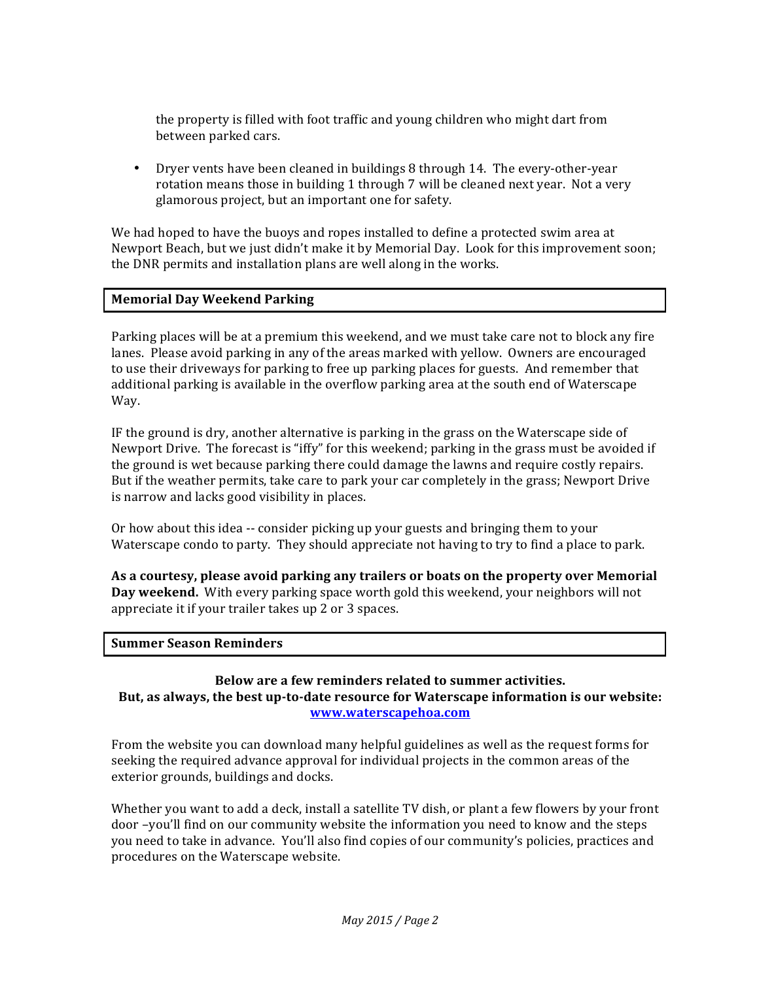the property is filled with foot traffic and young children who might dart from between parked cars.

• Dryer vents have been cleaned in buildings  $8$  through 14. The every-other-year rotation means those in building 1 through 7 will be cleaned next year. Not a very glamorous project, but an important one for safety.

We had hoped to have the buoys and ropes installed to define a protected swim area at Newport Beach, but we just didn't make it by Memorial Day. Look for this improvement soon; the DNR permits and installation plans are well along in the works.

## **Memorial Day Weekend Parking**

Parking places will be at a premium this weekend, and we must take care not to block any fire lanes. Please avoid parking in any of the areas marked with yellow. Owners are encouraged to use their driveways for parking to free up parking places for guests. And remember that additional parking is available in the overflow parking area at the south end of Waterscape Way.

IF the ground is dry, another alternative is parking in the grass on the Waterscape side of Newport Drive. The forecast is "iffy" for this weekend; parking in the grass must be avoided if the ground is wet because parking there could damage the lawns and require costly repairs. But if the weather permits, take care to park your car completely in the grass; Newport Drive is narrow and lacks good visibility in places.

Or how about this idea -- consider picking up your guests and bringing them to your Waterscape condo to party. They should appreciate not having to try to find a place to park.

As a courtesy, please avoid parking any trailers or boats on the property over Memorial Day weekend. With every parking space worth gold this weekend, your neighbors will not appreciate it if your trailer takes up 2 or 3 spaces.

#### **Summer Season Reminders**

### **Below)are)a)few)reminders related)to summer)activities.** But, as always, the best up-to-date resource for Waterscape information is our website: **www.waterscapehoa.com**

From the website you can download many helpful guidelines as well as the request forms for seeking the required advance approval for individual projects in the common areas of the exterior grounds, buildings and docks.

Whether you want to add a deck, install a satellite TV dish, or plant a few flowers by your front door –you'll find on our community website the information you need to know and the steps you need to take in advance. You'll also find copies of our community's policies, practices and procedures on the Waterscape website.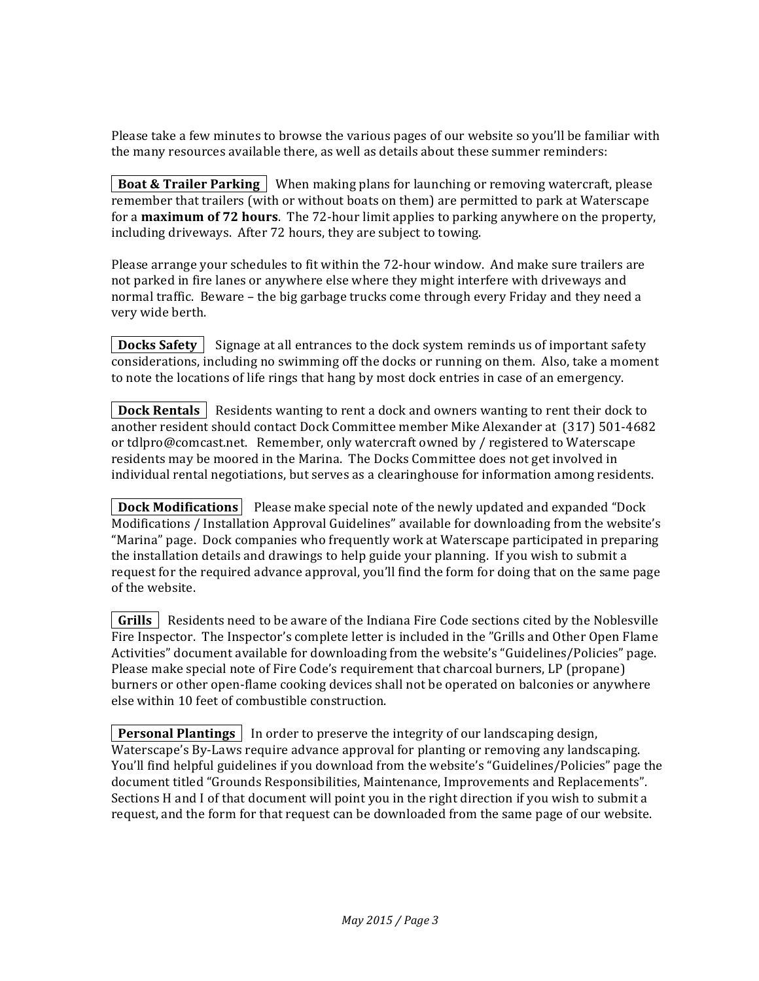Please take a few minutes to browse the various pages of our website so you'll be familiar with the many resources available there, as well as details about these summer reminders:

**Boat & Trailer Parking** When making plans for launching or removing watercraft, please remember that trailers (with or without boats on them) are permitted to park at Waterscape for a **maximum of 72 hours**. The 72-hour limit applies to parking anywhere on the property, including driveways. After 72 hours, they are subject to towing.

Please arrange your schedules to fit within the 72-hour window. And make sure trailers are not parked in fire lanes or anywhere else where they might interfere with driveways and normal traffic. Beware – the big garbage trucks come through every Friday and they need a very wide berth.

**Docks Safety** | Signage at all entrances to the dock system reminds us of important safety considerations, including no swimming off the docks or running on them. Also, take a moment to note the locations of life rings that hang by most dock entries in case of an emergency.

**Dock Rentals** | Residents wanting to rent a dock and owners wanting to rent their dock to another resident should contact Dock Committee member Mike Alexander at (317) 501-4682 or tdlpro@comcast.net. Remember, only watercraft owned by / registered to Waterscape residents may be moored in the Marina. The Docks Committee does not get involved in individual rental negotiations, but serves as a clearinghouse for information among residents.

**| Dock Modifications** | Please make special note of the newly updated and expanded "Dock" Modifications / Installation Approval Guidelines" available for downloading from the website's "Marina" page. Dock companies who frequently work at Waterscape participated in preparing the installation details and drawings to help guide your planning. If you wish to submit a request for the required advance approval, you'll find the form for doing that on the same page of the website.

 $\vert$  Grills  $\vert$  Residents need to be aware of the Indiana Fire Code sections cited by the Noblesville Fire Inspector. The Inspector's complete letter is included in the "Grills and Other Open Flame Activities" document available for downloading from the website's "Guidelines/Policies" page. Please make special note of Fire Code's requirement that charcoal burners, LP (propane) burners or other open-flame cooking devices shall not be operated on balconies or anywhere else within 10 feet of combustible construction.

**Personal Plantings** In order to preserve the integrity of our landscaping design, Waterscape's By-Laws require advance approval for planting or removing any landscaping. You'll find helpful guidelines if you download from the website's "Guidelines/Policies" page the document titled "Grounds Responsibilities, Maintenance, Improvements and Replacements". Sections H and I of that document will point you in the right direction if you wish to submit a request, and the form for that request can be downloaded from the same page of our website.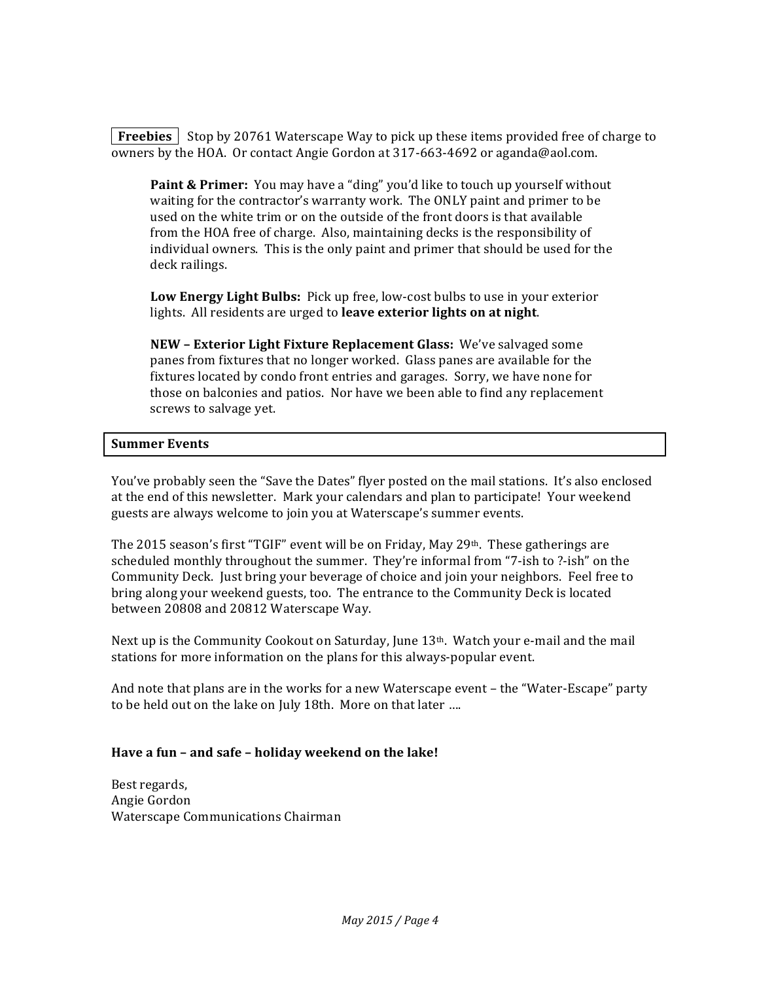**Freebies** Stop by 20761 Waterscape Way to pick up these items provided free of charge to owners by the HOA. Or contact Angie Gordon at 317-663-4692 or aganda@aol.com.

**Paint & Primer:** You may have a "ding" you'd like to touch up yourself without waiting for the contractor's warranty work. The ONLY paint and primer to be used on the white trim or on the outside of the front doors is that available from the HOA free of charge. Also, maintaining decks is the responsibility of individual owners. This is the only paint and primer that should be used for the deck railings.

**Low Energy Light Bulbs:** Pick up free, low-cost bulbs to use in your exterior lights. All residents are urged to **leave exterior lights on at night**.

**NEW – Exterior Light Fixture Replacement Glass:** We've salvaged some panes from fixtures that no longer worked. Glass panes are available for the fixtures located by condo front entries and garages. Sorry, we have none for those on balconies and patios. Nor have we been able to find any replacement screws to salvage yet.

## **Summer Events**

You've probably seen the "Save the Dates" flyer posted on the mail stations. It's also enclosed at the end of this newsletter. Mark your calendars and plan to participate! Your weekend guests are always welcome to join you at Waterscape's summer events.

The 2015 season's first "TGIF" event will be on Friday, May 29th. These gatherings are scheduled monthly throughout the summer. They're informal from "7-ish to ?-ish" on the Community Deck. Just bring your beverage of choice and join your neighbors. Feel free to bring along your weekend guests, too. The entrance to the Community Deck is located between 20808 and 20812 Waterscape Way.

Next up is the Community Cookout on Saturday, June 13<sup>th</sup>. Watch your e-mail and the mail stations for more information on the plans for this always-popular event.

And note that plans are in the works for a new Waterscape event – the "Water-Escape" party to be held out on the lake on July 18th. More on that later ….

## **Have)a)fun)– and)safe)– holiday)weekend)on)the)lake!**

Best regards, Angie Gordon Waterscape Communications Chairman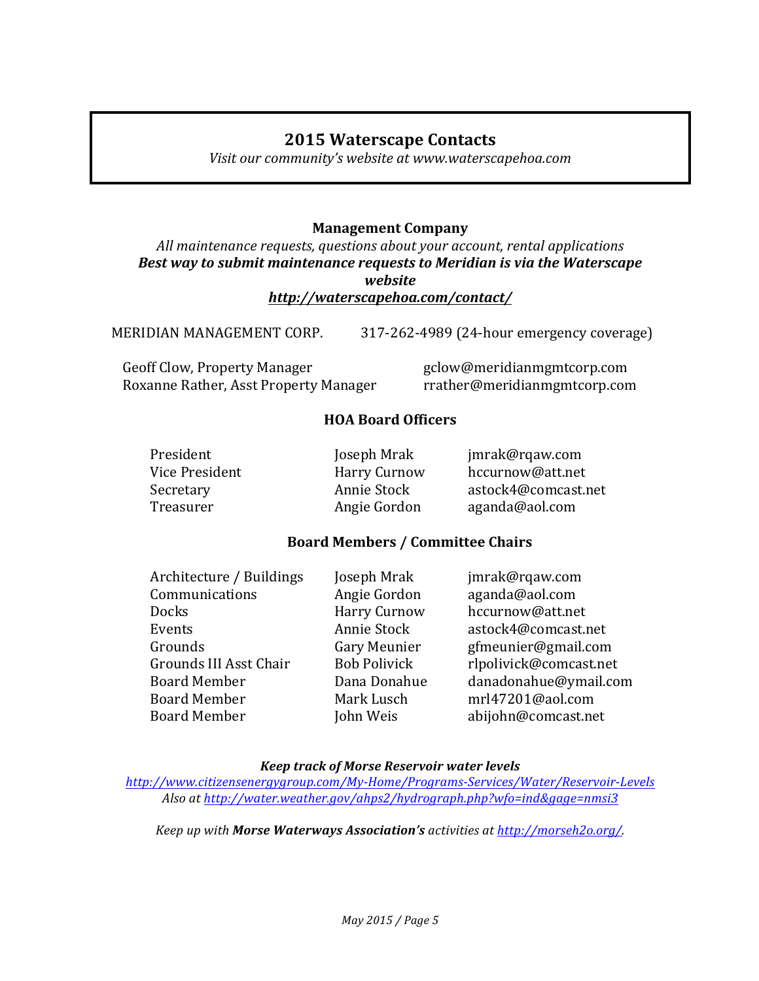# **2015)Waterscape)Contacts**

*Visit\$our\$community's\$website\$at\$www.waterscapehoa.com*

# **Management Company**

All maintenance requests, questions about your account, rental applications Best way to submit maintenance requests to Meridian is via the Waterscape *website http://waterscapehoa.com/contact/*

MERIDIAN MANAGEMENT CORP. 217-262-4989 (24-hour emergency coverage)

Geoff Clow, Property Manager gclow@meridianmgmtcorp.com Roxanne Rather, Asst Property Manager rrather@meridianmgmtcorp.com

# **HOA)Board)Officers**

President Joseph Mrak jmrak@rqaw.com

Vice President Harry Curnow hccurnow@att.net Secretary **Annie Stock astock4@comcast.net** Treasurer **Angie Gordon** aganda@aol.com

# **Board)Members)/)Committee)Chairs**

| Architecture / Buildings | Joseph Mrak         | jmrak@rqaw.com         |
|--------------------------|---------------------|------------------------|
| Communications           | Angie Gordon        | aganda@aol.com         |
| <b>Docks</b>             | <b>Harry Curnow</b> | hccurnow@att.net       |
| Events                   | Annie Stock         | astock4@comcast.net    |
| Grounds                  | Gary Meunier        | gfmeunier@gmail.com    |
| Grounds III Asst Chair   | <b>Bob Polivick</b> | rlpolivick@comcast.net |
| <b>Board Member</b>      | Dana Donahue        | danadonahue@ymail.com  |
| <b>Board Member</b>      | Mark Lusch          | mrl47201@aol.com       |
| <b>Board Member</b>      | John Weis           | abijohn@comcast.net    |
|                          |                     |                        |

# *Keep'track'of'Morse'Reservoir'water'levels'*

*http://www.citizensenergygroup.com/My:Home/Programs:Services/Water/Reservoir:Levels Also\$at\$http://water.weather.gov/ahps2/hydrograph.php?wfo=ind&gage=nmsi3*

*Keep\$up\$with\$Morse'Waterways'Association's activities\$at\$http://morseh2o.org/.*